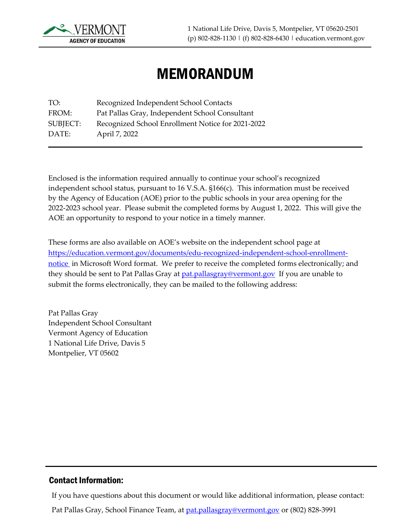

# MEMORANDUM

TO: Recognized Independent School Contacts FROM: Pat Pallas Gray, Independent School Consultant SUBJECT: Recognized School Enrollment Notice for 2021-2022 DATE: April 7, 2022

Enclosed is the information required annually to continue your school's recognized independent school status, pursuant to 16 V.S.A. §166(c). This information must be received by the Agency of Education (AOE) prior to the public schools in your area opening for the 2022-2023 school year. Please submit the completed forms by August 1, 2022. This will give the AOE an opportunity to respond to your notice in a timely manner.

These forms are also available on AOE's website on the independent school page at [https://education.vermont.gov/documents/edu-recognized-independent-school-enrollment](https://education.vermont.gov/documents/edu-recognized-independent-school-enrollment-notice)[notice](https://education.vermont.gov/documents/edu-recognized-independent-school-enrollment-notice) in Microsoft Word format. We prefer to receive the completed forms electronically; and they should be sent to Pat Pallas Gray at **pat.pallasgray@vermont.gov** If you are unable to submit the forms electronically, they can be mailed to the following address:

Pat Pallas Gray Independent School Consultant Vermont Agency of Education 1 National Life Drive, Davis 5 Montpelier, VT 05602

#### Contact Information:

If you have questions about this document or would like additional information, please contact:

Pat Pallas Gray, School Finance Team, at **pat.pallasgray@vermont.gov** or (802) 828-3991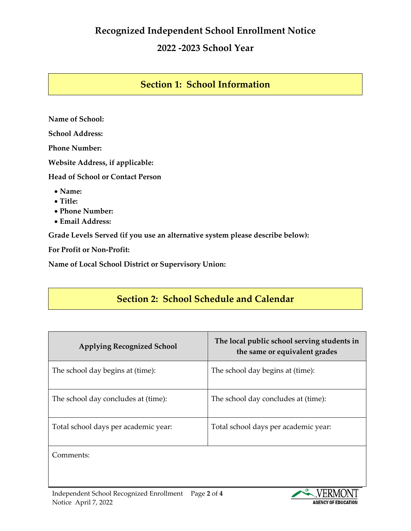## **Recognized Independent School Enrollment Notice**

### **2022 -2023 School Year**

#### **Section 1: School Information**

**Name of School: School Address: Phone Number: Website Address, if applicable: Head of School or Contact Person** • **Name:** • **Title:** • **Phone Number:**

• **Email Address:**

**Grade Levels Served (if you use an alternative system please describe below):**

**For Profit or Non-Profit:**

**Name of Local School District or Supervisory Union:**

## **Section 2: School Schedule and Calendar**

| <b>Applying Recognized School</b>    | The local public school serving students in<br>the same or equivalent grades |
|--------------------------------------|------------------------------------------------------------------------------|
| The school day begins at (time):     | The school day begins at (time):                                             |
| The school day concludes at (time):  | The school day concludes at (time):                                          |
| Total school days per academic year: | Total school days per academic year:                                         |
| Comments:                            |                                                                              |

Independent School Recognized Enrollment Page **2** of **4** Notice April 7, 2022

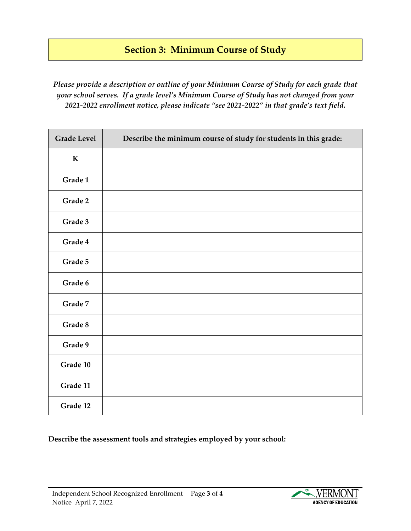# **Section 3: Minimum Course of Study**

*Please provide a description or outline of your Minimum Course of Study for each grade that your school serves. If a grade level's Minimum Course of Study has not changed from your 2021-2022 enrollment notice, please indicate "see 2021-2022" in that grade's text field.* 

| <b>Grade Level</b> | Describe the minimum course of study for students in this grade: |
|--------------------|------------------------------------------------------------------|
| ${\bf K}$          |                                                                  |
| Grade 1            |                                                                  |
| Grade 2            |                                                                  |
| Grade 3            |                                                                  |
| Grade 4            |                                                                  |
| Grade 5            |                                                                  |
| Grade 6            |                                                                  |
| Grade 7            |                                                                  |
| Grade 8            |                                                                  |
| Grade 9            |                                                                  |
| Grade 10           |                                                                  |
| Grade 11           |                                                                  |
| Grade 12           |                                                                  |

**Describe the assessment tools and strategies employed by your school:**